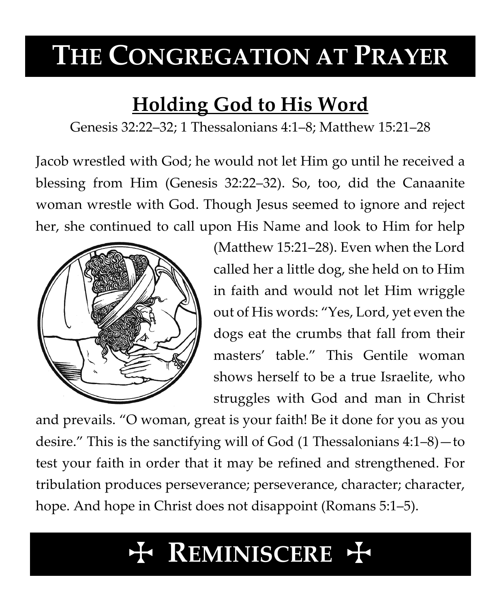# **THE CONGREGATION AT PRAYER**

## **Holding God to His Word**

Genesis 32:22–32; 1 Thessalonians 4:1–8; Matthew 15:21–28

Jacob wrestled with God; he would not let Him go until he received a blessing from Him (Genesis 32:22–32). So, too, did the Canaanite woman wrestle with God. Though Jesus seemed to ignore and reject her, she continued to call upon His Name and look to Him for help



(Matthew 15:21–28). Even when the Lord called her a little dog, she held on to Him in faith and would not let Him wriggle out of His words: "Yes, Lord, yet even the dogs eat the crumbs that fall from their masters' table." This Gentile woman shows herself to be a true Israelite, who struggles with God and man in Christ

and prevails. "O woman, great is your faith! Be it done for you as you desire." This is the sanctifying will of God (1 Thessalonians 4:1–8)—to test your faith in order that it may be refined and strengthened. For tribulation produces perseverance; perseverance, character; character, hope. And hope in Christ does not disappoint (Romans 5:1–5).

# T **REMINISCERE** T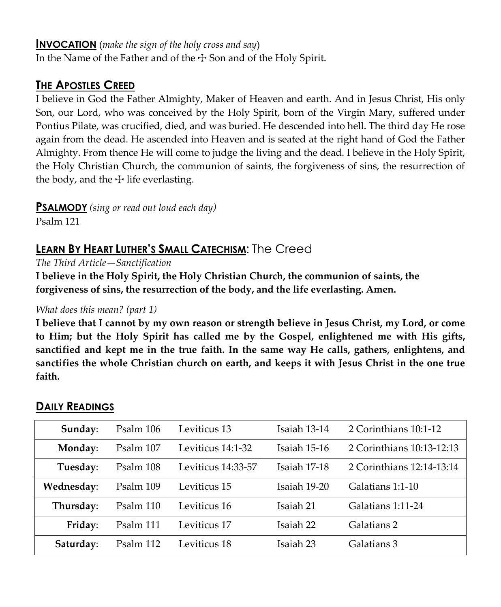#### **INVOCATION** (*make the sign of the holy cross and say*)

In the Name of the Father and of the  $\pm$  Son and of the Holy Spirit.

### **THE APOSTLES CREED**

I believe in God the Father Almighty, Maker of Heaven and earth. And in Jesus Christ, His only Son, our Lord, who was conceived by the Holy Spirit, born of the Virgin Mary, suffered under Pontius Pilate, was crucified, died, and was buried. He descended into hell. The third day He rose again from the dead. He ascended into Heaven and is seated at the right hand of God the Father Almighty. From thence He will come to judge the living and the dead. I believe in the Holy Spirit, the Holy Christian Church, the communion of saints, the forgiveness of sins, the resurrection of the body, and the  $\pm$  life everlasting.

**PSALMODY** *(sing or read out loud each day)*

Psalm 121

### **LEARN BY HEART LUTHER'S SMALL CATECHISM**: The Creed

*The Third Article—Sanctification*

**I believe in the Holy Spirit, the Holy Christian Church, the communion of saints, the forgiveness of sins, the resurrection of the body, and the life everlasting. Amen.**

#### *What does this mean? (part 1)*

**I believe that I cannot by my own reason or strength believe in Jesus Christ, my Lord, or come to Him; but the Holy Spirit has called me by the Gospel, enlightened me with His gifts, sanctified and kept me in the true faith. In the same way He calls, gathers, enlightens, and sanctifies the whole Christian church on earth, and keeps it with Jesus Christ in the one true faith.**

| Sunday:    | Psalm 106 | Leviticus 13       | Isaiah 13-14 | 2 Corinthians 10:1-12     |
|------------|-----------|--------------------|--------------|---------------------------|
| Monday:    | Psalm 107 | Leviticus 14:1-32  | Isaiah 15-16 | 2 Corinthians 10:13-12:13 |
| Tuesday:   | Psalm 108 | Leviticus 14:33-57 | Isaiah 17-18 | 2 Corinthians 12:14-13:14 |
| Wednesday: | Psalm 109 | Leviticus 15       | Isaiah 19-20 | Galatians 1:1-10          |
| Thursday:  | Psalm 110 | Leviticus 16       | Isaiah 21    | Galatians 1:11-24         |
| Friday:    | Psalm 111 | Leviticus 17       | Isaiah 22    | Galatians 2               |
| Saturday:  | Psalm 112 | Leviticus 18       | Isaiah 23    | Galatians 3               |

#### **DAILY READINGS**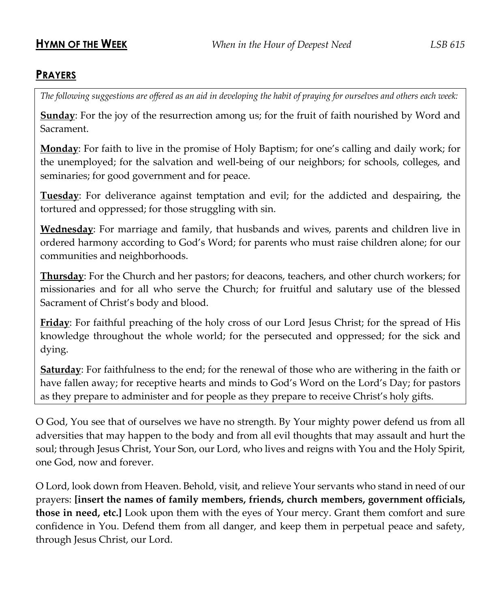#### **PRAYERS**

*The following suggestions are offered as an aid in developing the habit of praying for ourselves and others each week:*

**Sunday**: For the joy of the resurrection among us; for the fruit of faith nourished by Word and Sacrament.

**Monday**: For faith to live in the promise of Holy Baptism; for one's calling and daily work; for the unemployed; for the salvation and well-being of our neighbors; for schools, colleges, and seminaries; for good government and for peace.

**Tuesday**: For deliverance against temptation and evil; for the addicted and despairing, the tortured and oppressed; for those struggling with sin.

**Wednesday**: For marriage and family, that husbands and wives, parents and children live in ordered harmony according to God's Word; for parents who must raise children alone; for our communities and neighborhoods.

**Thursday**: For the Church and her pastors; for deacons, teachers, and other church workers; for missionaries and for all who serve the Church; for fruitful and salutary use of the blessed Sacrament of Christ's body and blood.

**Friday**: For faithful preaching of the holy cross of our Lord Jesus Christ; for the spread of His knowledge throughout the whole world; for the persecuted and oppressed; for the sick and dying.

**Saturday**: For faithfulness to the end; for the renewal of those who are withering in the faith or have fallen away; for receptive hearts and minds to God's Word on the Lord's Day; for pastors as they prepare to administer and for people as they prepare to receive Christ's holy gifts.

O God, You see that of ourselves we have no strength. By Your mighty power defend us from all adversities that may happen to the body and from all evil thoughts that may assault and hurt the soul; through Jesus Christ, Your Son, our Lord, who lives and reigns with You and the Holy Spirit, one God, now and forever.

O Lord, look down from Heaven. Behold, visit, and relieve Your servants who stand in need of our prayers: **[insert the names of family members, friends, church members, government officials, those in need, etc.]** Look upon them with the eyes of Your mercy. Grant them comfort and sure confidence in You. Defend them from all danger, and keep them in perpetual peace and safety, through Jesus Christ, our Lord.